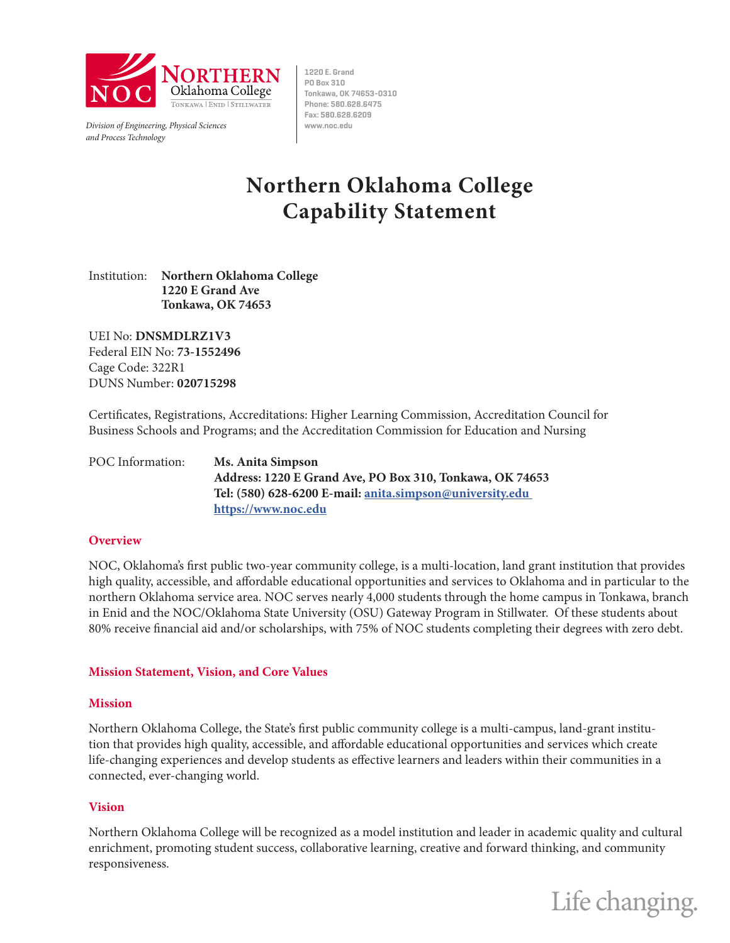

*Division of Engineering, Physical Sciences* **www.noc.edu** *and Process Technology*

**1220 E. Grand PO Box 310 Tonkawa, OK 74653-0310 Phone: 580.628.6475 Fax: 580.628.6209**

# **Northern Oklahoma College Capability Statement**

Institution: **Northern Oklahoma College 1220 E Grand Ave Tonkawa, OK 74653**

UEI No: **DNSMDLRZ1V3** Federal EIN No: **73-1552496** Cage Code: 322R1 DUNS Number: **020715298**

Certificates, Registrations, Accreditations: Higher Learning Commission, Accreditation Council for Business Schools and Programs; and the Accreditation Commission for Education and Nursing

POC Information: **Ms. Anita Simpson Address: 1220 E Grand Ave, PO Box 310, Tonkawa, OK 74653 Tel: (580) 628-6200 E-mail: anita.simpson@university.edu https://www.noc.edu**

# **Overview**

NOC, Oklahoma's first public two-year community college, is a multi-location, land grant institution that provides high quality, accessible, and affordable educational opportunities and services to Oklahoma and in particular to the northern Oklahoma service area. NOC serves nearly 4,000 students through the home campus in Tonkawa, branch in Enid and the NOC/Oklahoma State University (OSU) Gateway Program in Stillwater. Of these students about 80% receive financial aid and/or scholarships, with 75% of NOC students completing their degrees with zero debt.

# **Mission Statement, Vision, and Core Values**

# **Mission**

Northern Oklahoma College, the State's first public community college is a multi-campus, land-grant institution that provides high quality, accessible, and affordable educational opportunities and services which create life-changing experiences and develop students as effective learners and leaders within their communities in a connected, ever-changing world.

# **Vision**

Northern Oklahoma College will be recognized as a model institution and leader in academic quality and cultural enrichment, promoting student success, collaborative learning, creative and forward thinking, and community responsiveness.

Life changing.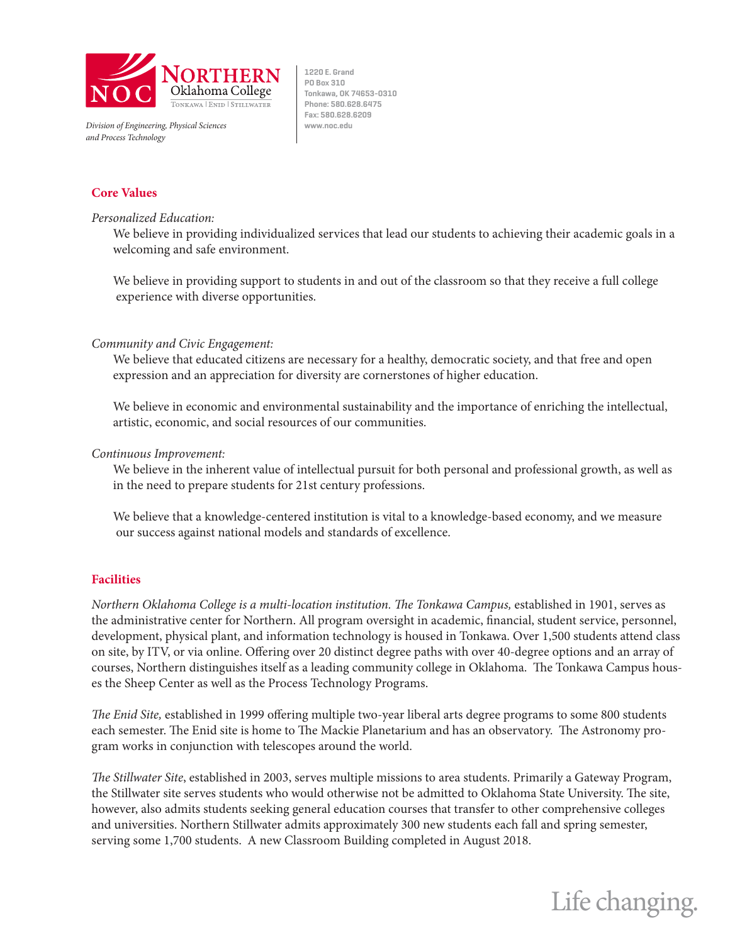

*Division of Engineering, Physical Sciences* **www.noc.edu** *and Process Technology*

**1220 E. Grand PO Box 310 Tonkawa, OK 74653-0310 Phone: 580.628.6475 Fax: 580.628.6209**

# **Core Values**

#### *Personalized Education:*

We believe in providing individualized services that lead our students to achieving their academic goals in a welcoming and safe environment.

We believe in providing support to students in and out of the classroom so that they receive a full college experience with diverse opportunities.

# *Community and Civic Engagement:*

We believe that educated citizens are necessary for a healthy, democratic society, and that free and open expression and an appreciation for diversity are cornerstones of higher education.

We believe in economic and environmental sustainability and the importance of enriching the intellectual, artistic, economic, and social resources of our communities.

#### *Continuous Improvement:*

We believe in the inherent value of intellectual pursuit for both personal and professional growth, as well as in the need to prepare students for 21st century professions.

We believe that a knowledge-centered institution is vital to a knowledge-based economy, and we measure our success against national models and standards of excellence.

# **Facilities**

*Northern Oklahoma College is a multi-location institution. The Tonkawa Campus, established in 1901, serves as* the administrative center for Northern. All program oversight in academic, financial, student service, personnel, development, physical plant, and information technology is housed in Tonkawa. Over 1,500 students attend class on site, by ITV, or via online. Offering over 20 distinct degree paths with over 40-degree options and an array of courses, Northern distinguishes itself as a leading community college in Oklahoma. The Tonkawa Campus houses the Sheep Center as well as the Process Technology Programs.

*The Enid Site,* established in 1999 offering multiple two-year liberal arts degree programs to some 800 students each semester. The Enid site is home to The Mackie Planetarium and has an observatory. The Astronomy program works in conjunction with telescopes around the world.

*The Stillwater Site*, established in 2003, serves multiple missions to area students. Primarily a Gateway Program, the Stillwater site serves students who would otherwise not be admitted to Oklahoma State University. The site, however, also admits students seeking general education courses that transfer to other comprehensive colleges and universities. Northern Stillwater admits approximately 300 new students each fall and spring semester, serving some 1,700 students. A new Classroom Building completed in August 2018.